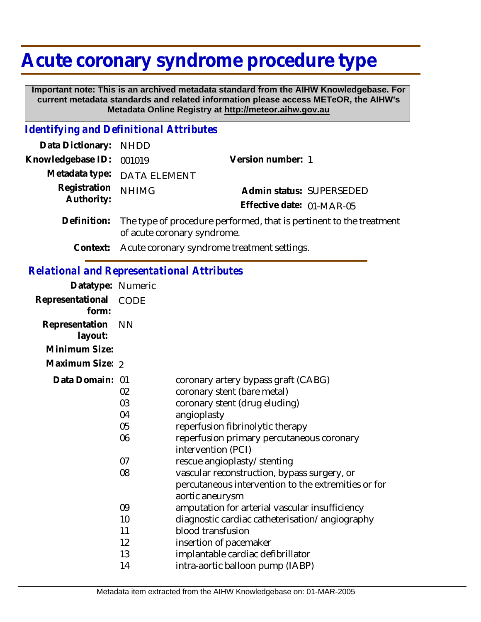## **Acute coronary syndrome procedure type**

 **Important note: This is an archived metadata standard from the AIHW Knowledgebase. For current metadata standards and related information please access METeOR, the AIHW's Metadata Online Registry at http://meteor.aihw.gov.au**

## *Identifying and Definitional Attributes*

| Data Dictionary: NHDD    |                                                                             |                           |                          |
|--------------------------|-----------------------------------------------------------------------------|---------------------------|--------------------------|
| Knowledgebase ID: 001019 |                                                                             | Version number: 1         |                          |
|                          | Metadata type: DATA ELEMENT                                                 |                           |                          |
| Registration NHIMG       |                                                                             |                           | Admin status: SUPERSEDED |
| Authority:               |                                                                             | Effective date: 01-MAR-05 |                          |
|                          | Definition: The type of procedure performed that is perfinent to the treatr |                           |                          |

- Definition: The type of procedure performed, that is pertinent to the treatment of acute coronary syndrome.
	- **Context:** Acute coronary syndrome treatment settings.

## *Relational and Representational Attributes*

| Datatype: Numeric         |                                  |                                                                                                                                                                                                                                                          |
|---------------------------|----------------------------------|----------------------------------------------------------------------------------------------------------------------------------------------------------------------------------------------------------------------------------------------------------|
| Representational<br>form: | CODE                             |                                                                                                                                                                                                                                                          |
| Representation<br>layout: | <b>NN</b>                        |                                                                                                                                                                                                                                                          |
| Minimum Size:             |                                  |                                                                                                                                                                                                                                                          |
| Maximum Size: 2           |                                  |                                                                                                                                                                                                                                                          |
| Data Domain: 01           | 02<br>03<br>04<br>05<br>06<br>07 | coronary artery bypass graft (CABG)<br>coronary stent (bare metal)<br>coronary stent (drug eluding)<br>angioplasty<br>reperfusion fibrinolytic therapy<br>reperfusion primary percutaneous coronary<br>intervention (PCI)<br>rescue angioplasty/stenting |
|                           | 08                               | vascular reconstruction, bypass surgery, or<br>percutaneous intervention to the extremities or for<br>aortic aneurysm                                                                                                                                    |
|                           | 09                               | amputation for arterial vascular insufficiency                                                                                                                                                                                                           |
|                           | 10                               | diagnostic cardiac catheterisation/angiography                                                                                                                                                                                                           |
|                           | 11                               | blood transfusion                                                                                                                                                                                                                                        |
|                           | 12                               | insertion of pacemaker                                                                                                                                                                                                                                   |
|                           | 13                               | implantable cardiac defibrillator                                                                                                                                                                                                                        |
|                           | 14                               | intra-aortic balloon pump (IABP)                                                                                                                                                                                                                         |